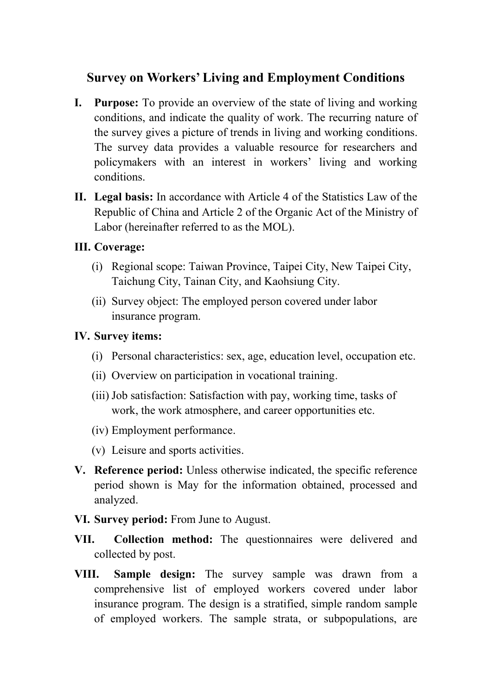## **Survey on Workers' Living and Employment Conditions**

- **I. Purpose:** To provide an overview of the state of living and working conditions, and indicate the quality of work. The recurring nature of the survey gives a picture of trends in living and working conditions. The survey data provides a valuable resource for researchers and policymakers with an interest in workers' living and working conditions.
- **II. Legal basis:** In accordance with Article 4 of the Statistics Law of the Republic of China and Article 2 of the Organic Act of the Ministry of Labor (hereinafter referred to as the MOL).

## **III. Coverage:**

- (i) Regional scope: Taiwan Province, Taipei City, New Taipei City, Taichung City, Tainan City, and Kaohsiung City.
- (ii) Survey object: The employed person covered under labor insurance program.

## **IV. Survey items:**

- (i) Personal characteristics: sex, age, education level, occupation etc.
- (ii) Overview on participation in vocational training.
- (iii) Job satisfaction: Satisfaction with pay, working time, tasks of work, the work atmosphere, and career opportunities etc.
- (iv) Employment performance.
- (v) Leisure and sports activities.
- **V. Reference period:** Unless otherwise indicated, the specific reference period shown is May for the information obtained, processed and analyzed.
- **VI. Survey period:** From June to August.
- **VII. Collection method:** The questionnaires were delivered and collected by post.
- **VIII. Sample design:** The survey sample was drawn from a comprehensive list of employed workers covered under labor insurance program. The design is a stratified, simple random sample of employed workers. The sample strata, or subpopulations, are